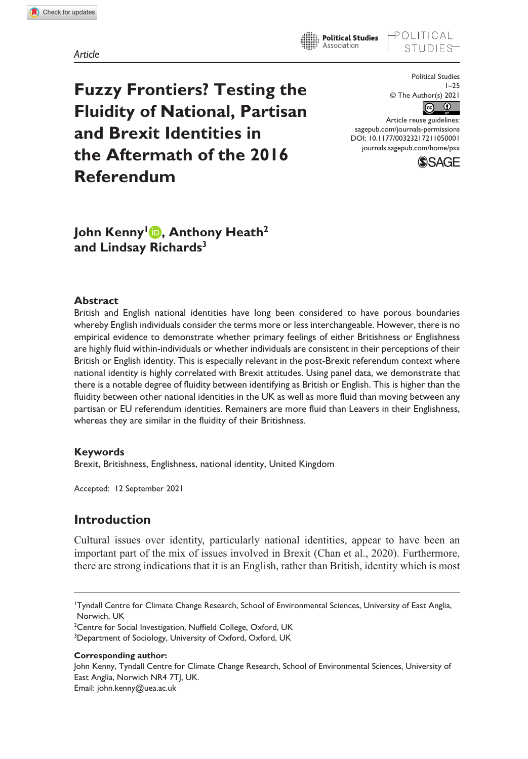*Article*

**Fuzzy Frontiers? Testing the Fluidity of National, Partisan and Brexit Identities in the Aftermath of the 2016 Referendum**

Political Studies 1–25 © The Author(s) 2021  $\odot$   $\odot$ 

OLITICAL

DOI: 10.1177/00323217211050001 Article reuse guidelines: [sagepub.com/journals-permissions](https://uk.sagepub.com/en-gb/journals-permissions) [journals.sagepub.com/home/psx](https://journals.sagepub.com/home/psx)

**Political Studies** Association



John Kenny<sup>1</sup> **D**, Anthony Heath<sup>2</sup> **and Lindsay Richards3**

### **Abstract**

British and English national identities have long been considered to have porous boundaries whereby English individuals consider the terms more or less interchangeable. However, there is no empirical evidence to demonstrate whether primary feelings of either Britishness or Englishness are highly fluid within-individuals or whether individuals are consistent in their perceptions of their British or English identity. This is especially relevant in the post-Brexit referendum context where national identity is highly correlated with Brexit attitudes. Using panel data, we demonstrate that there is a notable degree of fluidity between identifying as British or English. This is higher than the fluidity between other national identities in the UK as well as more fluid than moving between any partisan or EU referendum identities. Remainers are more fluid than Leavers in their Englishness, whereas they are similar in the fluidity of their Britishness.

### **Keywords**

Brexit, Britishness, Englishness, national identity, United Kingdom

Accepted: 12 September 2021

# **Introduction**

Cultural issues over identity, particularly national identities, appear to have been an important part of the mix of issues involved in Brexit (Chan et al., 2020). Furthermore, there are strong indications that it is an English, rather than British, identity which is most

<sup>1</sup> Tyndall Centre for Climate Change Research, School of Environmental Sciences, University of East Anglia, Norwich, UK

<sup>&</sup>lt;sup>2</sup>Centre for Social Investigation, Nuffield College, Oxford, UK

<sup>&</sup>lt;sup>3</sup>Department of Sociology, University of Oxford, Oxford, UK

**Corresponding author:**

John Kenny, Tyndall Centre for Climate Change Research, School of Environmental Sciences, University of East Anglia, Norwich NR4 7TI, UK. Email: [john.kenny@uea.ac.uk](mailto:john.kenny@uea.ac.uk)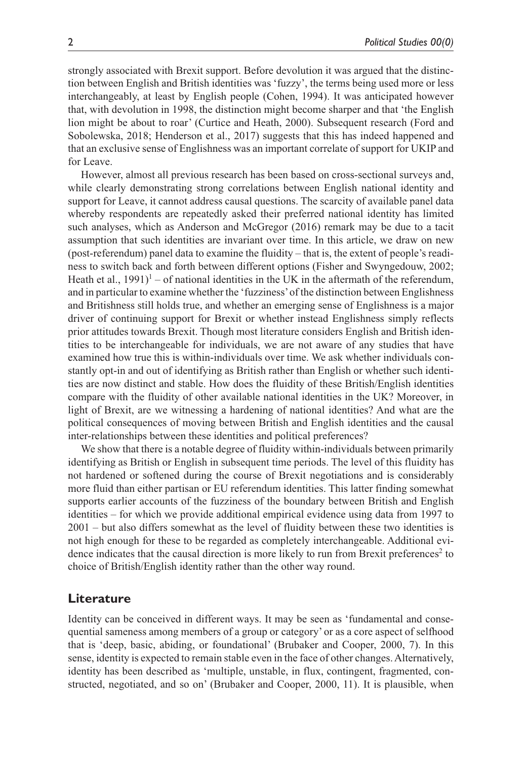strongly associated with Brexit support. Before devolution it was argued that the distinction between English and British identities was 'fuzzy', the terms being used more or less interchangeably, at least by English people (Cohen, 1994). It was anticipated however that, with devolution in 1998, the distinction might become sharper and that 'the English lion might be about to roar' (Curtice and Heath, 2000). Subsequent research (Ford and Sobolewska, 2018; Henderson et al., 2017) suggests that this has indeed happened and that an exclusive sense of Englishness was an important correlate of support for UKIP and for Leave.

However, almost all previous research has been based on cross-sectional surveys and, while clearly demonstrating strong correlations between English national identity and support for Leave, it cannot address causal questions. The scarcity of available panel data whereby respondents are repeatedly asked their preferred national identity has limited such analyses, which as Anderson and McGregor (2016) remark may be due to a tacit assumption that such identities are invariant over time. In this article, we draw on new (post-referendum) panel data to examine the fluidity – that is, the extent of people's readiness to switch back and forth between different options (Fisher and Swyngedouw, 2002; Heath et al.,  $1991$ <sup>1</sup> – of national identities in the UK in the aftermath of the referendum, and in particular to examine whether the 'fuzziness' of the distinction between Englishness and Britishness still holds true, and whether an emerging sense of Englishness is a major driver of continuing support for Brexit or whether instead Englishness simply reflects prior attitudes towards Brexit. Though most literature considers English and British identities to be interchangeable for individuals, we are not aware of any studies that have examined how true this is within-individuals over time. We ask whether individuals constantly opt-in and out of identifying as British rather than English or whether such identities are now distinct and stable. How does the fluidity of these British/English identities compare with the fluidity of other available national identities in the UK? Moreover, in light of Brexit, are we witnessing a hardening of national identities? And what are the political consequences of moving between British and English identities and the causal inter-relationships between these identities and political preferences?

We show that there is a notable degree of fluidity within-individuals between primarily identifying as British or English in subsequent time periods. The level of this fluidity has not hardened or softened during the course of Brexit negotiations and is considerably more fluid than either partisan or EU referendum identities. This latter finding somewhat supports earlier accounts of the fuzziness of the boundary between British and English identities – for which we provide additional empirical evidence using data from 1997 to 2001 – but also differs somewhat as the level of fluidity between these two identities is not high enough for these to be regarded as completely interchangeable. Additional evidence indicates that the causal direction is more likely to run from Brexit preferences<sup>2</sup> to choice of British/English identity rather than the other way round.

# **Literature**

Identity can be conceived in different ways. It may be seen as 'fundamental and consequential sameness among members of a group or category' or as a core aspect of selfhood that is 'deep, basic, abiding, or foundational' (Brubaker and Cooper, 2000, 7). In this sense, identity is expected to remain stable even in the face of other changes. Alternatively, identity has been described as 'multiple, unstable, in flux, contingent, fragmented, constructed, negotiated, and so on' (Brubaker and Cooper, 2000, 11). It is plausible, when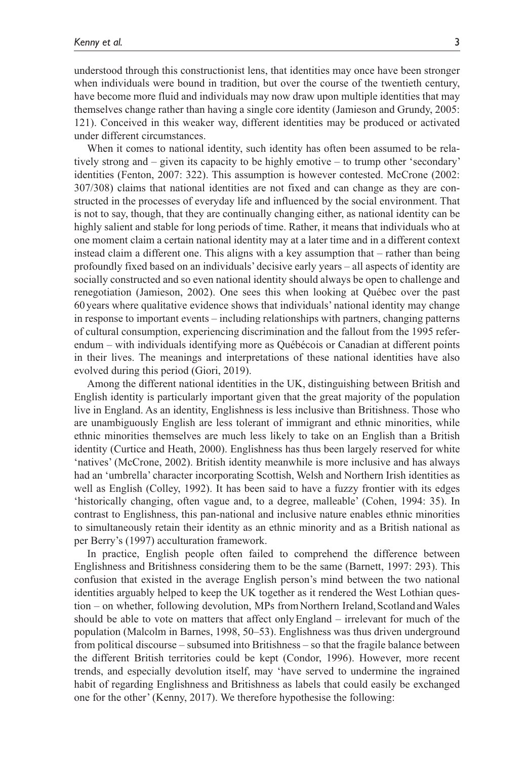understood through this constructionist lens, that identities may once have been stronger when individuals were bound in tradition, but over the course of the twentieth century, have become more fluid and individuals may now draw upon multiple identities that may themselves change rather than having a single core identity (Jamieson and Grundy, 2005: 121). Conceived in this weaker way, different identities may be produced or activated under different circumstances.

When it comes to national identity, such identity has often been assumed to be relatively strong and – given its capacity to be highly emotive – to trump other 'secondary' identities (Fenton, 2007: 322). This assumption is however contested. McCrone (2002: 307/308) claims that national identities are not fixed and can change as they are constructed in the processes of everyday life and influenced by the social environment. That is not to say, though, that they are continually changing either, as national identity can be highly salient and stable for long periods of time. Rather, it means that individuals who at one moment claim a certain national identity may at a later time and in a different context instead claim a different one. This aligns with a key assumption that – rather than being profoundly fixed based on an individuals' decisive early years – all aspects of identity are socially constructed and so even national identity should always be open to challenge and renegotiation (Jamieson, 2002). One sees this when looking at Québec over the past 60years where qualitative evidence shows that individuals' national identity may change in response to important events – including relationships with partners, changing patterns of cultural consumption, experiencing discrimination and the fallout from the 1995 referendum – with individuals identifying more as Québécois or Canadian at different points in their lives. The meanings and interpretations of these national identities have also evolved during this period (Giori, 2019).

Among the different national identities in the UK, distinguishing between British and English identity is particularly important given that the great majority of the population live in England. As an identity, Englishness is less inclusive than Britishness. Those who are unambiguously English are less tolerant of immigrant and ethnic minorities, while ethnic minorities themselves are much less likely to take on an English than a British identity (Curtice and Heath, 2000). Englishness has thus been largely reserved for white 'natives' (McCrone, 2002). British identity meanwhile is more inclusive and has always had an 'umbrella' character incorporating Scottish, Welsh and Northern Irish identities as well as English (Colley, 1992). It has been said to have a fuzzy frontier with its edges 'historically changing, often vague and, to a degree, malleable' (Cohen, 1994: 35). In contrast to Englishness, this pan-national and inclusive nature enables ethnic minorities to simultaneously retain their identity as an ethnic minority and as a British national as per Berry's (1997) acculturation framework.

In practice, English people often failed to comprehend the difference between Englishness and Britishness considering them to be the same (Barnett, 1997: 293). This confusion that existed in the average English person's mind between the two national identities arguably helped to keep the UK together as it rendered the West Lothian question – on whether, following devolution, MPs from Northern Ireland, Scotland and Wales should be able to vote on matters that affect onlyEngland – irrelevant for much of the population (Malcolm in Barnes, 1998, 50–53). Englishness was thus driven underground from political discourse – subsumed into Britishness – so that the fragile balance between the different British territories could be kept (Condor, 1996). However, more recent trends, and especially devolution itself, may 'have served to undermine the ingrained habit of regarding Englishness and Britishness as labels that could easily be exchanged one for the other' (Kenny, 2017). We therefore hypothesise the following: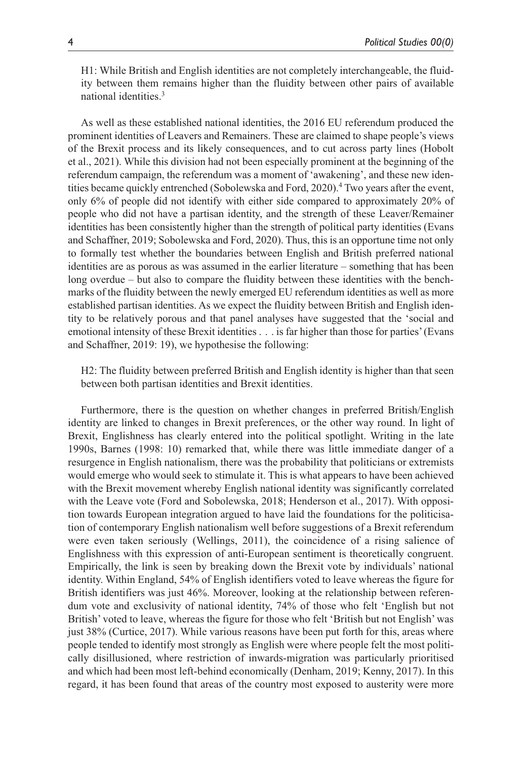H1: While British and English identities are not completely interchangeable, the fluidity between them remains higher than the fluidity between other pairs of available national identities.3

As well as these established national identities, the 2016 EU referendum produced the prominent identities of Leavers and Remainers. These are claimed to shape people's views of the Brexit process and its likely consequences, and to cut across party lines (Hobolt et al., 2021). While this division had not been especially prominent at the beginning of the referendum campaign, the referendum was a moment of 'awakening', and these new identities became quickly entrenched (Sobolewska and Ford, 2020).<sup>4</sup> Two years after the event, only 6% of people did not identify with either side compared to approximately 20% of people who did not have a partisan identity, and the strength of these Leaver/Remainer identities has been consistently higher than the strength of political party identities (Evans and Schaffner, 2019; Sobolewska and Ford, 2020). Thus, this is an opportune time not only to formally test whether the boundaries between English and British preferred national identities are as porous as was assumed in the earlier literature – something that has been long overdue – but also to compare the fluidity between these identities with the benchmarks of the fluidity between the newly emerged EU referendum identities as well as more established partisan identities. As we expect the fluidity between British and English identity to be relatively porous and that panel analyses have suggested that the 'social and emotional intensity of these Brexit identities . . . is far higher than those for parties' (Evans and Schaffner, 2019: 19), we hypothesise the following:

H2: The fluidity between preferred British and English identity is higher than that seen between both partisan identities and Brexit identities.

Furthermore, there is the question on whether changes in preferred British/English identity are linked to changes in Brexit preferences, or the other way round. In light of Brexit, Englishness has clearly entered into the political spotlight. Writing in the late 1990s, Barnes (1998: 10) remarked that, while there was little immediate danger of a resurgence in English nationalism, there was the probability that politicians or extremists would emerge who would seek to stimulate it. This is what appears to have been achieved with the Brexit movement whereby English national identity was significantly correlated with the Leave vote (Ford and Sobolewska, 2018; Henderson et al., 2017). With opposition towards European integration argued to have laid the foundations for the politicisation of contemporary English nationalism well before suggestions of a Brexit referendum were even taken seriously (Wellings, 2011), the coincidence of a rising salience of Englishness with this expression of anti-European sentiment is theoretically congruent. Empirically, the link is seen by breaking down the Brexit vote by individuals' national identity. Within England, 54% of English identifiers voted to leave whereas the figure for British identifiers was just 46%. Moreover, looking at the relationship between referendum vote and exclusivity of national identity, 74% of those who felt 'English but not British' voted to leave, whereas the figure for those who felt 'British but not English' was just 38% (Curtice, 2017). While various reasons have been put forth for this, areas where people tended to identify most strongly as English were where people felt the most politically disillusioned, where restriction of inwards-migration was particularly prioritised and which had been most left-behind economically (Denham, 2019; Kenny, 2017). In this regard, it has been found that areas of the country most exposed to austerity were more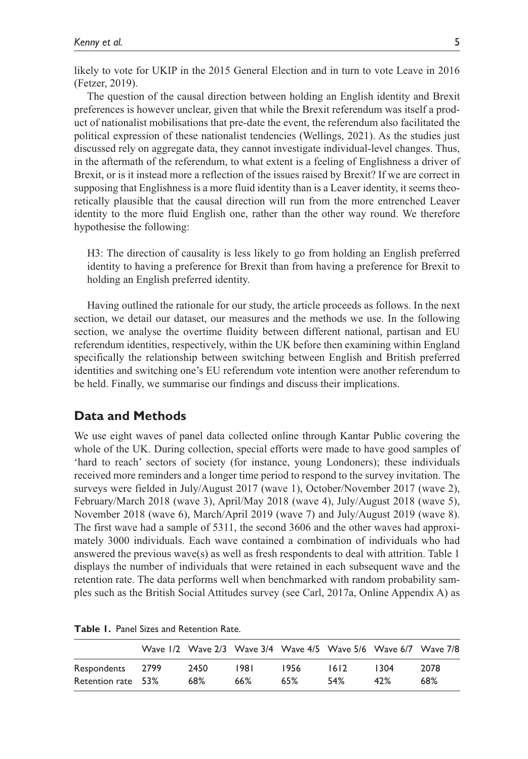likely to vote for UKIP in the 2015 General Election and in turn to vote Leave in 2016 (Fetzer, 2019).

The question of the causal direction between holding an English identity and Brexit preferences is however unclear, given that while the Brexit referendum was itself a product of nationalist mobilisations that pre-date the event, the referendum also facilitated the political expression of these nationalist tendencies (Wellings, 2021). As the studies just discussed rely on aggregate data, they cannot investigate individual-level changes. Thus, in the aftermath of the referendum, to what extent is a feeling of Englishness a driver of Brexit, or is it instead more a reflection of the issues raised by Brexit? If we are correct in supposing that Englishness is a more fluid identity than is a Leaver identity, it seems theoretically plausible that the causal direction will run from the more entrenched Leaver identity to the more fluid English one, rather than the other way round. We therefore hypothesise the following:

H3: The direction of causality is less likely to go from holding an English preferred identity to having a preference for Brexit than from having a preference for Brexit to holding an English preferred identity.

Having outlined the rationale for our study, the article proceeds as follows. In the next section, we detail our dataset, our measures and the methods we use. In the following section, we analyse the overtime fluidity between different national, partisan and EU referendum identities, respectively, within the UK before then examining within England specifically the relationship between switching between English and British preferred identities and switching one's EU referendum vote intention were another referendum to be held. Finally, we summarise our findings and discuss their implications.

## **Data and Methods**

We use eight waves of panel data collected online through Kantar Public covering the whole of the UK. During collection, special efforts were made to have good samples of 'hard to reach' sectors of society (for instance, young Londoners); these individuals received more reminders and a longer time period to respond to the survey invitation. The surveys were fielded in July/August 2017 (wave 1), October/November 2017 (wave 2), February/March 2018 (wave 3), April/May 2018 (wave 4), July/August 2018 (wave 5), November 2018 (wave 6), March/April 2019 (wave 7) and July/August 2019 (wave 8). The first wave had a sample of 5311, the second 3606 and the other waves had approximately 3000 individuals. Each wave contained a combination of individuals who had answered the previous wave(s) as well as fresh respondents to deal with attrition. Table 1 displays the number of individuals that were retained in each subsequent wave and the retention rate. The data performs well when benchmarked with random probability samples such as the British Social Attitudes survey (see Carl, 2017a, Online Appendix A) as

|                    |      | Wave 1/2 Wave 2/3 Wave 3/4 Wave 4/5 Wave 5/6 Wave 6/7 Wave 7/8 |      |      |      |      |
|--------------------|------|----------------------------------------------------------------|------|------|------|------|
| Respondents 2799   | 2450 | 1981                                                           | 1956 | 1612 | 1304 | 2078 |
| Retention rate 53% | 68%  | 66%                                                            | 65%  | 54%  | 47%  | 68%  |

**Table 1.** Panel Sizes and Retention Rate.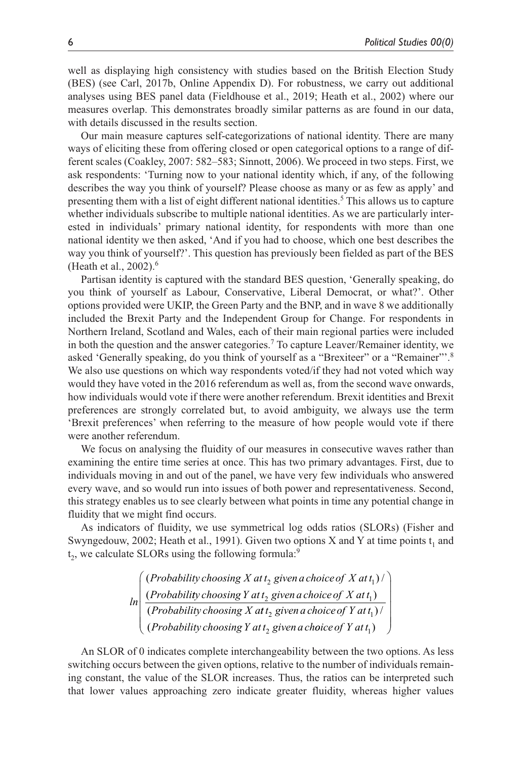well as displaying high consistency with studies based on the British Election Study (BES) (see Carl, 2017b, Online Appendix D). For robustness, we carry out additional analyses using BES panel data (Fieldhouse et al., 2019; Heath et al., 2002) where our measures overlap. This demonstrates broadly similar patterns as are found in our data, with details discussed in the results section.

Our main measure captures self-categorizations of national identity. There are many ways of eliciting these from offering closed or open categorical options to a range of different scales (Coakley, 2007: 582–583; Sinnott, 2006). We proceed in two steps. First, we ask respondents: 'Turning now to your national identity which, if any, of the following describes the way you think of yourself? Please choose as many or as few as apply' and presenting them with a list of eight different national identities.<sup>5</sup> This allows us to capture whether individuals subscribe to multiple national identities. As we are particularly interested in individuals' primary national identity, for respondents with more than one national identity we then asked, 'And if you had to choose, which one best describes the way you think of yourself?'. This question has previously been fielded as part of the BES (Heath et al., 2002).6

Partisan identity is captured with the standard BES question, 'Generally speaking, do you think of yourself as Labour, Conservative, Liberal Democrat, or what?'. Other options provided were UKIP, the Green Party and the BNP, and in wave 8 we additionally included the Brexit Party and the Independent Group for Change. For respondents in Northern Ireland, Scotland and Wales, each of their main regional parties were included in both the question and the answer categories.<sup>7</sup> To capture Leaver/Remainer identity, we asked 'Generally speaking, do you think of yourself as a "Brexiteer" or a "Remainer"'.8 We also use questions on which way respondents voted/if they had not voted which way would they have voted in the 2016 referendum as well as, from the second wave onwards, how individuals would vote if there were another referendum. Brexit identities and Brexit preferences are strongly correlated but, to avoid ambiguity, we always use the term 'Brexit preferences' when referring to the measure of how people would vote if there were another referendum.

We focus on analysing the fluidity of our measures in consecutive waves rather than examining the entire time series at once. This has two primary advantages. First, due to individuals moving in and out of the panel, we have very few individuals who answered every wave, and so would run into issues of both power and representativeness. Second, this strategy enables us to see clearly between what points in time any potential change in fluidity that we might find occurs.

As indicators of fluidity, we use symmetrical log odds ratios (SLORs) (Fisher and Swyngedouw, 2002; Heath et al., 1991). Given two options X and Y at time points  $t_1$  and t<sub>2</sub>, we calculate SLORs using the following formula:<sup>9</sup>

> *ln Probability choosing X at t givenachoiceof X at t Probabili* (Probability choosing X at t, given a choice of X at  $t_1$ ) / (  $_2$  given a choice of  $\Lambda$  at  $\iota_1$ *ty choosing Y at t givenachoiceof X at t Probability choosing X a*  $\mathcal{L}_2$  given a choice of  $X$  at  $t_1)$ (*Probability choosing X at t*<sub>2</sub> given a choice of Y at t *Probability choosing Y at t givenach*  $_2$  given a choice of 1 at  $\eta_1$ 2 ) / (*Probability choosing*  $Y$  at  $t_2$  given a choice of  $Y$  at  $t_1$ ) ſ  $\overline{\mathcal{L}}$  $\mathbf{I}$  $\mathsf{I}$  $\mathsf{I}$  $\overline{\phantom{a}}$  $\setminus$ J  $\overline{\phantom{a}}$  $\overline{\phantom{a}}$  $\overline{\phantom{a}}$  $\bigg\}$

An SLOR of 0 indicates complete interchangeability between the two options. As less switching occurs between the given options, relative to the number of individuals remaining constant, the value of the SLOR increases. Thus, the ratios can be interpreted such that lower values approaching zero indicate greater fluidity, whereas higher values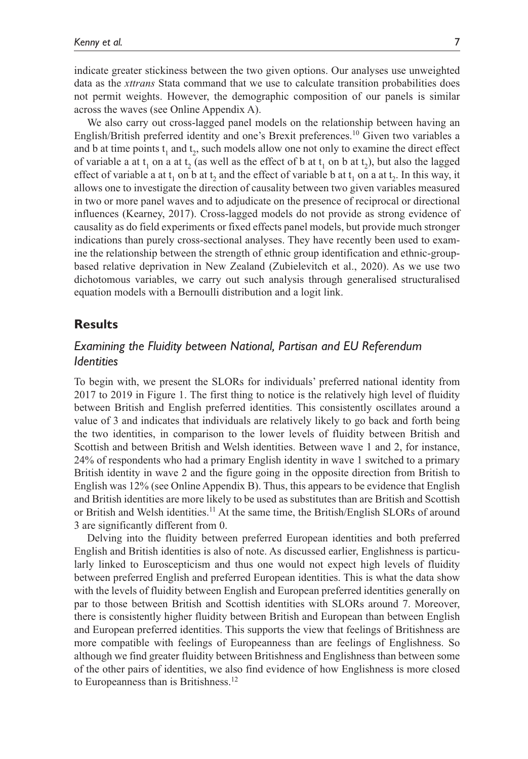indicate greater stickiness between the two given options. Our analyses use unweighted data as the *xttrans* Stata command that we use to calculate transition probabilities does not permit weights. However, the demographic composition of our panels is similar across the waves (see Online Appendix A).

We also carry out cross-lagged panel models on the relationship between having an English/British preferred identity and one's Brexit preferences.10 Given two variables a and b at time points  $t_1$  and  $t_2$ , such models allow one not only to examine the direct effect of variable a at t<sub>1</sub> on a at t<sub>2</sub> (as well as the effect of b at t<sub>1</sub> on b at t<sub>2</sub>), but also the lagged effect of variable a at  $t_1$  on b at  $t_2$  and the effect of variable b at  $t_1$  on a at  $t_2$ . In this way, it allows one to investigate the direction of causality between two given variables measured in two or more panel waves and to adjudicate on the presence of reciprocal or directional influences (Kearney, 2017). Cross-lagged models do not provide as strong evidence of causality as do field experiments or fixed effects panel models, but provide much stronger indications than purely cross-sectional analyses. They have recently been used to examine the relationship between the strength of ethnic group identification and ethnic-groupbased relative deprivation in New Zealand (Zubielevitch et al., 2020). As we use two dichotomous variables, we carry out such analysis through generalised structuralised equation models with a Bernoulli distribution and a logit link.

# **Results**

# *Examining the Fluidity between National, Partisan and EU Referendum Identities*

To begin with, we present the SLORs for individuals' preferred national identity from 2017 to 2019 in Figure 1. The first thing to notice is the relatively high level of fluidity between British and English preferred identities. This consistently oscillates around a value of 3 and indicates that individuals are relatively likely to go back and forth being the two identities, in comparison to the lower levels of fluidity between British and Scottish and between British and Welsh identities. Between wave 1 and 2, for instance, 24% of respondents who had a primary English identity in wave 1 switched to a primary British identity in wave 2 and the figure going in the opposite direction from British to English was 12% (see Online Appendix B). Thus, this appears to be evidence that English and British identities are more likely to be used as substitutes than are British and Scottish or British and Welsh identities.<sup>11</sup> At the same time, the British/English SLORs of around 3 are significantly different from 0.

Delving into the fluidity between preferred European identities and both preferred English and British identities is also of note. As discussed earlier, Englishness is particularly linked to Euroscepticism and thus one would not expect high levels of fluidity between preferred English and preferred European identities. This is what the data show with the levels of fluidity between English and European preferred identities generally on par to those between British and Scottish identities with SLORs around 7. Moreover, there is consistently higher fluidity between British and European than between English and European preferred identities. This supports the view that feelings of Britishness are more compatible with feelings of Europeanness than are feelings of Englishness. So although we find greater fluidity between Britishness and Englishness than between some of the other pairs of identities, we also find evidence of how Englishness is more closed to Europeanness than is Britishness.<sup>12</sup>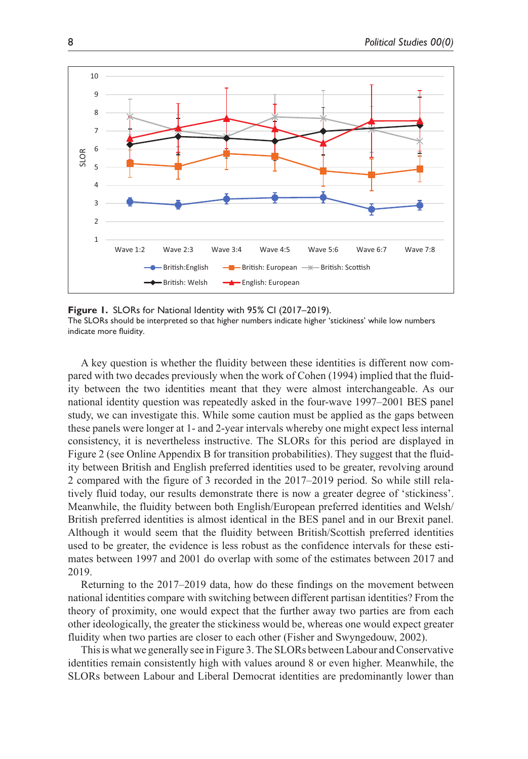

**Figure 1.** SLORs for National Identity with 95% CI (2017–2019). The SLORs should be interpreted so that higher numbers indicate higher 'stickiness' while low numbers indicate more fluidity.

A key question is whether the fluidity between these identities is different now compared with two decades previously when the work of Cohen (1994) implied that the fluidity between the two identities meant that they were almost interchangeable. As our national identity question was repeatedly asked in the four-wave 1997–2001 BES panel study, we can investigate this. While some caution must be applied as the gaps between these panels were longer at 1- and 2-year intervals whereby one might expect less internal consistency, it is nevertheless instructive. The SLORs for this period are displayed in Figure 2 (see Online Appendix B for transition probabilities). They suggest that the fluidity between British and English preferred identities used to be greater, revolving around 2 compared with the figure of 3 recorded in the 2017–2019 period. So while still relatively fluid today, our results demonstrate there is now a greater degree of 'stickiness'. Meanwhile, the fluidity between both English/European preferred identities and Welsh/ British preferred identities is almost identical in the BES panel and in our Brexit panel. Although it would seem that the fluidity between British/Scottish preferred identities used to be greater, the evidence is less robust as the confidence intervals for these estimates between 1997 and 2001 do overlap with some of the estimates between 2017 and 2019.

Returning to the 2017–2019 data, how do these findings on the movement between national identities compare with switching between different partisan identities? From the theory of proximity, one would expect that the further away two parties are from each other ideologically, the greater the stickiness would be, whereas one would expect greater fluidity when two parties are closer to each other (Fisher and Swyngedouw, 2002).

This is what we generally see in Figure 3. The SLORs between Labour and Conservative identities remain consistently high with values around 8 or even higher. Meanwhile, the SLORs between Labour and Liberal Democrat identities are predominantly lower than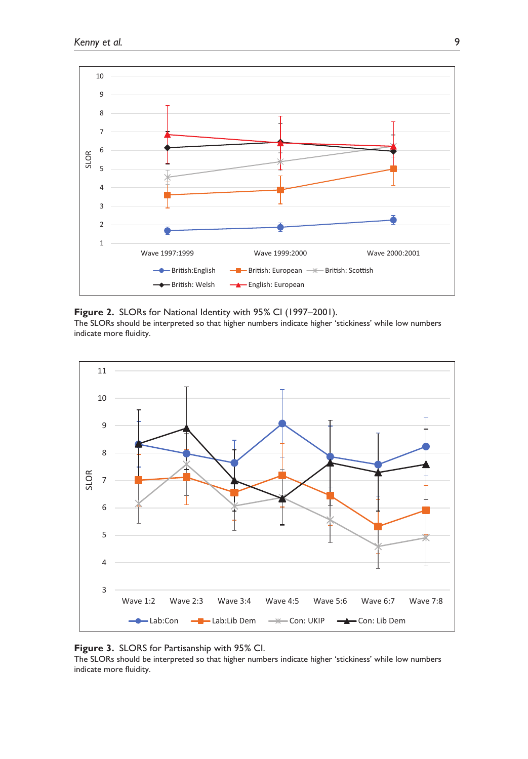

### **Figure 2.** SLORs for National Identity with 95% CI (1997–2001).

The SLORs should be interpreted so that higher numbers indicate higher 'stickiness' while low numbers indicate more fluidity.



### **Figure 3.** SLORS for Partisanship with 95% CI.

The SLORs should be interpreted so that higher numbers indicate higher 'stickiness' while low numbers indicate more fluidity.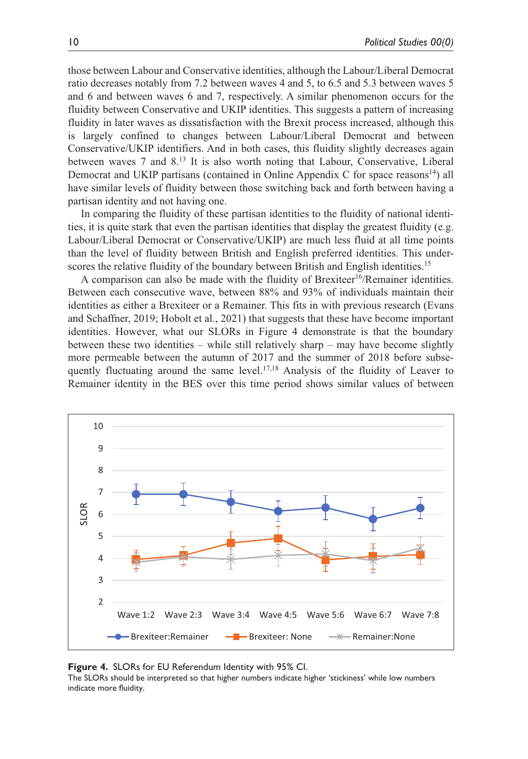those between Labour and Conservative identities, although the Labour/Liberal Democrat ratio decreases notably from 7.2 between waves 4 and 5, to 6.5 and 5.3 between waves 5 and 6 and between waves 6 and 7, respectively. A similar phenomenon occurs for the fluidity between Conservative and UKIP identities. This suggests a pattern of increasing fluidity in later waves as dissatisfaction with the Brexit process increased, although this is largely confined to changes between Labour/Liberal Democrat and between Conservative/UKIP identifiers. And in both cases, this fluidity slightly decreases again between waves 7 and 8.13 It is also worth noting that Labour, Conservative, Liberal Democrat and UKIP partisans (contained in Online Appendix C for space reasons<sup>14</sup>) all have similar levels of fluidity between those switching back and forth between having a partisan identity and not having one.

In comparing the fluidity of these partisan identities to the fluidity of national identities, it is quite stark that even the partisan identities that display the greatest fluidity (e.g. Labour/Liberal Democrat or Conservative/UKIP) are much less fluid at all time points than the level of fluidity between British and English preferred identities. This underscores the relative fluidity of the boundary between British and English identities.<sup>15</sup>

A comparison can also be made with the fluidity of Brexiteer<sup>16</sup>/Remainer identities. Between each consecutive wave, between 88% and 93% of individuals maintain their identities as either a Brexiteer or a Remainer. This fits in with previous research (Evans and Schaffner, 2019; Hobolt et al., 2021) that suggests that these have become important identities. However, what our SLORs in Figure 4 demonstrate is that the boundary between these two identities – while still relatively sharp – may have become slightly more permeable between the autumn of 2017 and the summer of 2018 before subsequently fluctuating around the same level.<sup>17,18</sup> Analysis of the fluidity of Leaver to Remainer identity in the BES over this time period shows similar values of between



#### **Figure 4.** SLORs for EU Referendum Identity with 95% CI.

The SLORs should be interpreted so that higher numbers indicate higher 'stickiness' while low numbers indicate more fluidity.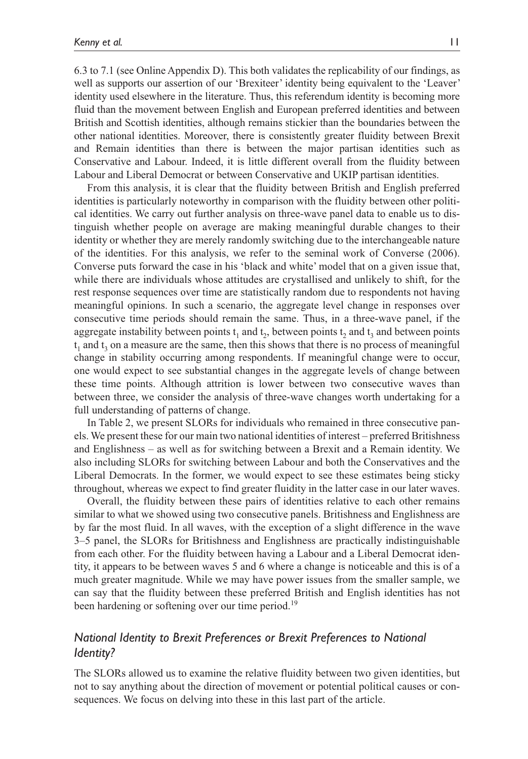6.3 to 7.1 (see Online Appendix D). This both validates the replicability of our findings, as well as supports our assertion of our 'Brexiteer' identity being equivalent to the 'Leaver' identity used elsewhere in the literature. Thus, this referendum identity is becoming more fluid than the movement between English and European preferred identities and between British and Scottish identities, although remains stickier than the boundaries between the other national identities. Moreover, there is consistently greater fluidity between Brexit and Remain identities than there is between the major partisan identities such as Conservative and Labour. Indeed, it is little different overall from the fluidity between Labour and Liberal Democrat or between Conservative and UKIP partisan identities.

From this analysis, it is clear that the fluidity between British and English preferred identities is particularly noteworthy in comparison with the fluidity between other political identities. We carry out further analysis on three-wave panel data to enable us to distinguish whether people on average are making meaningful durable changes to their identity or whether they are merely randomly switching due to the interchangeable nature of the identities. For this analysis, we refer to the seminal work of Converse (2006). Converse puts forward the case in his 'black and white' model that on a given issue that, while there are individuals whose attitudes are crystallised and unlikely to shift, for the rest response sequences over time are statistically random due to respondents not having meaningful opinions. In such a scenario, the aggregate level change in responses over consecutive time periods should remain the same. Thus, in a three-wave panel, if the aggregate instability between points  $t_1$  and  $t_2$ , between points  $t_3$  and  $t_4$  and between points  $t_1$  and  $t_3$  on a measure are the same, then this shows that there is no process of meaningful change in stability occurring among respondents. If meaningful change were to occur, one would expect to see substantial changes in the aggregate levels of change between these time points. Although attrition is lower between two consecutive waves than between three, we consider the analysis of three-wave changes worth undertaking for a full understanding of patterns of change.

In Table 2, we present SLORs for individuals who remained in three consecutive panels. We present these for our main two national identities of interest – preferred Britishness and Englishness – as well as for switching between a Brexit and a Remain identity. We also including SLORs for switching between Labour and both the Conservatives and the Liberal Democrats. In the former, we would expect to see these estimates being sticky throughout, whereas we expect to find greater fluidity in the latter case in our later waves.

Overall, the fluidity between these pairs of identities relative to each other remains similar to what we showed using two consecutive panels. Britishness and Englishness are by far the most fluid. In all waves, with the exception of a slight difference in the wave 3–5 panel, the SLORs for Britishness and Englishness are practically indistinguishable from each other. For the fluidity between having a Labour and a Liberal Democrat identity, it appears to be between waves 5 and 6 where a change is noticeable and this is of a much greater magnitude. While we may have power issues from the smaller sample, we can say that the fluidity between these preferred British and English identities has not been hardening or softening over our time period.<sup>19</sup>

# *National Identity to Brexit Preferences or Brexit Preferences to National Identity?*

The SLORs allowed us to examine the relative fluidity between two given identities, but not to say anything about the direction of movement or potential political causes or consequences. We focus on delving into these in this last part of the article.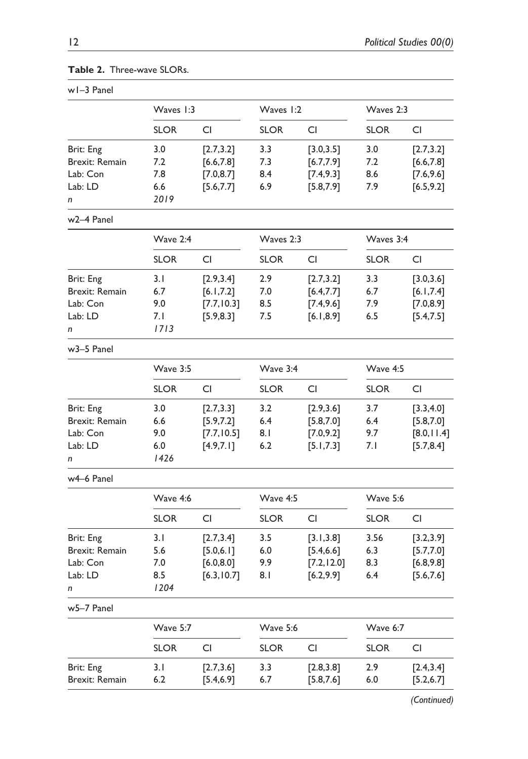| w1-3 Panel            |                 |             |             |             |             |             |
|-----------------------|-----------------|-------------|-------------|-------------|-------------|-------------|
|                       | Waves 1:3       |             | Waves 1:2   |             | Waves 2:3   |             |
|                       | <b>SLOR</b>     | CI          | <b>SLOR</b> | CI          | <b>SLOR</b> | CI          |
| Brit: Eng             | 3.0             | [2.7, 3.2]  | 3.3         | [3.0, 3.5]  | 3.0         | [2.7, 3.2]  |
| <b>Brexit: Remain</b> | 7.2             | [6.6, 7.8]  | 7.3         | [6.7, 7.9]  | 7.2         | [6.6, 7.8]  |
| Lab: Con              | 7.8             | [7.0, 8.7]  | 8.4         | [7.4, 9.3]  | 8.6         | [7.6, 9.6]  |
| Lab: LD               | 6.6             | [5.6, 7.7]  | 6.9         | [5.8, 7.9]  | 7.9         | [6.5, 9.2]  |
| n                     | 2019            |             |             |             |             |             |
| w2-4 Panel            |                 |             |             |             |             |             |
|                       | Wave 2:4        |             | Waves 2:3   |             | Waves 3:4   |             |
|                       | <b>SLOR</b>     | CI          | <b>SLOR</b> | CI          | <b>SLOR</b> | CI          |
| Brit: Eng             | 3.1             | [2.9, 3.4]  | 2.9         | [2.7, 3.2]  | 3.3         | [3.0, 3.6]  |
| Brexit: Remain        | 6.7             | [6.1, 7.2]  | 7.0         | [6.4, 7.7]  | 6.7         | [6.1, 7.4]  |
| Lab: Con              | 9.0             | [7.7, 10.3] | 8.5         | [7.4, 9.6]  | 7.9         | [7.0, 8.9]  |
| Lab: LD               | 7. I            | [5.9, 8.3]  | 7.5         | [6.1, 8.9]  | 6.5         | [5.4, 7.5]  |
| n                     | 1713            |             |             |             |             |             |
| w3-5 Panel            |                 |             |             |             |             |             |
|                       | Wave 3:5        |             | Wave 3:4    |             | Wave 4:5    |             |
|                       | <b>SLOR</b>     | <b>CI</b>   | <b>SLOR</b> | CI          | <b>SLOR</b> | CI          |
| Brit: Eng             | 3.0             | [2.7, 3.3]  | 3.2         | [2.9, 3.6]  | 3.7         | [3.3, 4.0]  |
| Brexit: Remain        | 6.6             | [5.9, 7.2]  | 6.4         | [5.8, 7.0]  | 6.4         | [5.8, 7.0]  |
| Lab: Con              | 9.0             | [7.7, 10.5] | 8.1         | [7.0, 9.2]  | 9.7         | [8.0, 11.4] |
| Lab: LD               | 6.0             | [4.9, 7.1]  | 6.2         | [5.1, 7.3]  | 7.1         | [5.7, 8.4]  |
| n                     | 1426            |             |             |             |             |             |
| w4-6 Panel            |                 |             |             |             |             |             |
|                       | <b>Wave 4:6</b> |             | Wave 4:5    |             | Wave 5:6    |             |
|                       | <b>SLOR</b>     | CI          | <b>SLOR</b> | CI          | <b>SLOR</b> | CI          |
| Brit: Eng             | 3.1             | [2.7, 3.4]  | 3.5         | [3.1, 3.8]  | 3.56        | [3.2, 3.9]  |
| Brexit: Remain        | 5.6             | [5.0, 6.1]  | 6.0         | [5.4, 6.6]  | 6.3         | [5.7, 7.0]  |
| Lab: Con              | 7.0             | [6.0, 8.0]  | 9.9         | [7.2, 12.0] | 8.3         | [6.8, 9.8]  |
| Lab: LD               | 8.5             | [6.3, 10.7] | 8.1         | [6.2, 9.9]  | 6.4         | [5.6, 7.6]  |
| n                     | 1204            |             |             |             |             |             |
| w5-7 Panel            |                 |             |             |             |             |             |
|                       | Wave 5:7        |             | Wave 5:6    |             | Wave 6:7    |             |
|                       | <b>SLOR</b>     | CI          | <b>SLOR</b> | CI          | <b>SLOR</b> | CI          |
| Brit: Eng             | 3.1             | [2.7, 3.6]  | 3.3         | [2.8, 3.8]  | 2.9         | [2.4, 3.4]  |
| Brexit: Remain        | 6.2             | [5.4, 6.9]  | 6.7         | [5.8, 7.6]  | 6.0         | [5.2, 6.7]  |

|  | <b>Table 2.</b> Three-wave SLORs. |  |
|--|-----------------------------------|--|
|--|-----------------------------------|--|

*(Continued)*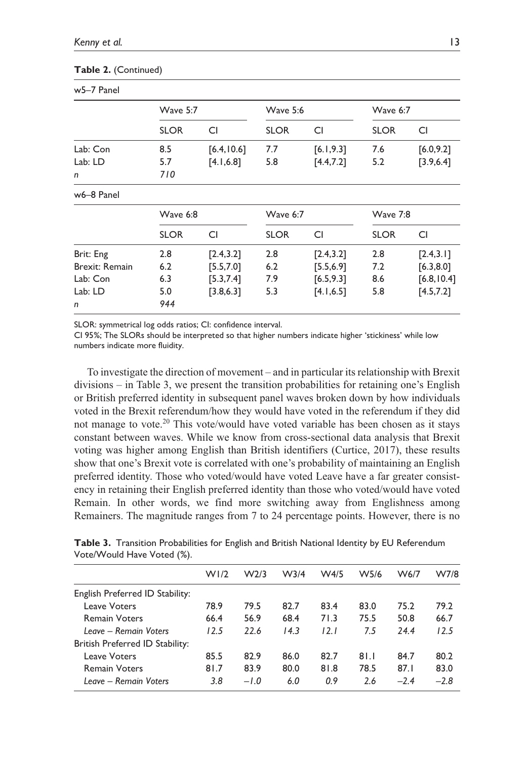| w5-7 Panel     |             |             |             |            |                 |             |
|----------------|-------------|-------------|-------------|------------|-----------------|-------------|
|                | Wave 5:7    |             | Wave 5:6    |            | Wave 6:7        |             |
|                | <b>SLOR</b> | CI          | <b>SLOR</b> | CI         | <b>SLOR</b>     | CI          |
| Lab: Con       | 8.5         | [6.4, 10.6] | 7.7         | [6.1, 9.3] | 7.6             | [6.0, 9.2]  |
| Lab: LD        | 5.7         | [4.1, 6.8]  | 5.8         | [4.4, 7.2] | 5.2             | [3.9, 6.4]  |
| n              | 710         |             |             |            |                 |             |
| w6-8 Panel     |             |             |             |            |                 |             |
|                | Wave 6:8    |             | Wave 6:7    |            | <b>Wave 7:8</b> |             |
|                | <b>SLOR</b> | CI          | <b>SLOR</b> | CI         | <b>SLOR</b>     | CI          |
| Brit: Eng      | 2.8         | [2.4, 3.2]  | 2.8         | [2.4, 3.2] | 2.8             | [2.4, 3.1]  |
| Brexit: Remain | 6.2         | [5.5, 7.0]  | 6.2         | [5.5, 6.9] | 7.2             | [6.3, 8.0]  |
| Lab: Con       | 6.3         | [5.3, 7.4]  | 7.9         | [6.5, 9.3] | 8.6             | [6.8, 10.4] |
| Lab: LD        | 5.0         | [3.8, 6.3]  | 5.3         | [4.1, 6.5] | 5.8             | [4.5, 7.2]  |
| n              | 944         |             |             |            |                 |             |

#### **Table 2.** (Continued)

SLOR: symmetrical log odds ratios; CI: confidence interval.

CI 95%; The SLORs should be interpreted so that higher numbers indicate higher 'stickiness' while low numbers indicate more fluidity.

To investigate the direction of movement – and in particular its relationship with Brexit divisions – in Table 3, we present the transition probabilities for retaining one's English or British preferred identity in subsequent panel waves broken down by how individuals voted in the Brexit referendum/how they would have voted in the referendum if they did not manage to vote.<sup>20</sup> This vote/would have voted variable has been chosen as it stays constant between waves. While we know from cross-sectional data analysis that Brexit voting was higher among English than British identifiers (Curtice, 2017), these results show that one's Brexit vote is correlated with one's probability of maintaining an English preferred identity. Those who voted/would have voted Leave have a far greater consistency in retaining their English preferred identity than those who voted/would have voted Remain. In other words, we find more switching away from Englishness among Remainers. The magnitude ranges from 7 to 24 percentage points. However, there is no

|                                 | W1/2 | W <sub>2/3</sub> | W <sub>3/4</sub> | W4/5 | W5/6 | W6/7   | W7/8   |
|---------------------------------|------|------------------|------------------|------|------|--------|--------|
| English Preferred ID Stability: |      |                  |                  |      |      |        |        |
| Leave Voters                    | 78.9 | 79.5             | 82.7             | 83.4 | 83.0 | 75.2   | 79.2   |
| <b>Remain Voters</b>            | 66.4 | 56.9             | 68.4             | 71.3 | 75.5 | 50.8   | 66.7   |
| Leave - Remain Voters           | 12.5 | 22.6             | 14.3             | 12.1 | 7.5  | 24.4   | 12.5   |
| British Preferred ID Stability: |      |                  |                  |      |      |        |        |
| Leave Voters                    | 85.5 | 82.9             | 86.0             | 82.7 | 81.1 | 84.7   | 80.2   |
| <b>Remain Voters</b>            | 81.7 | 83.9             | 80.0             | 81.8 | 78.5 | 87.1   | 83.0   |
| Leave – Remain Voters           | 3.8  | $-1.0$           | 6.0              | 0.9  | 2.6  | $-2.4$ | $-2.8$ |

**Table 3.** Transition Probabilities for English and British National Identity by EU Referendum Vote/Would Have Voted (%).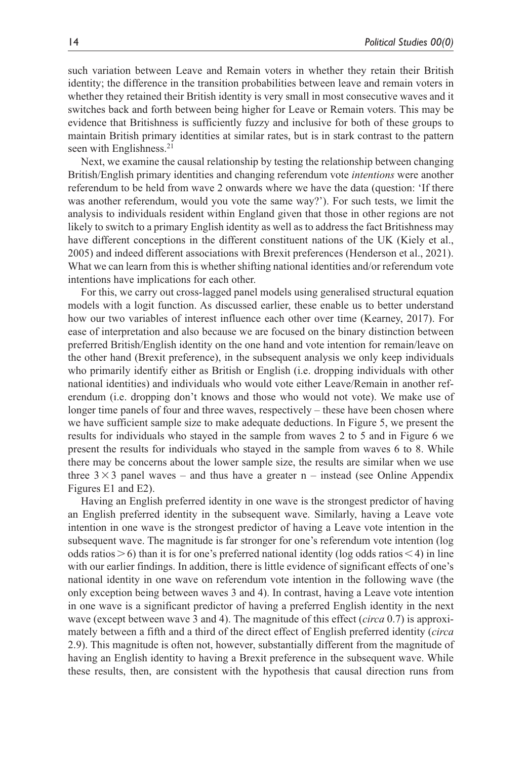such variation between Leave and Remain voters in whether they retain their British identity; the difference in the transition probabilities between leave and remain voters in whether they retained their British identity is very small in most consecutive waves and it switches back and forth between being higher for Leave or Remain voters. This may be evidence that Britishness is sufficiently fuzzy and inclusive for both of these groups to maintain British primary identities at similar rates, but is in stark contrast to the pattern seen with Englishness.<sup>21</sup>

Next, we examine the causal relationship by testing the relationship between changing British/English primary identities and changing referendum vote *intentions* were another referendum to be held from wave 2 onwards where we have the data (question: 'If there was another referendum, would you vote the same way?'). For such tests, we limit the analysis to individuals resident within England given that those in other regions are not likely to switch to a primary English identity as well as to address the fact Britishness may have different conceptions in the different constituent nations of the UK (Kiely et al., 2005) and indeed different associations with Brexit preferences (Henderson et al., 2021). What we can learn from this is whether shifting national identities and/or referendum vote intentions have implications for each other.

For this, we carry out cross-lagged panel models using generalised structural equation models with a logit function. As discussed earlier, these enable us to better understand how our two variables of interest influence each other over time (Kearney, 2017). For ease of interpretation and also because we are focused on the binary distinction between preferred British/English identity on the one hand and vote intention for remain/leave on the other hand (Brexit preference), in the subsequent analysis we only keep individuals who primarily identify either as British or English (i.e. dropping individuals with other national identities) and individuals who would vote either Leave/Remain in another referendum (i.e. dropping don't knows and those who would not vote). We make use of longer time panels of four and three waves, respectively – these have been chosen where we have sufficient sample size to make adequate deductions. In Figure 5, we present the results for individuals who stayed in the sample from waves 2 to 5 and in Figure 6 we present the results for individuals who stayed in the sample from waves 6 to 8. While there may be concerns about the lower sample size, the results are similar when we use three  $3 \times 3$  panel waves – and thus have a greater n – instead (see Online Appendix Figures E1 and E2).

Having an English preferred identity in one wave is the strongest predictor of having an English preferred identity in the subsequent wave. Similarly, having a Leave vote intention in one wave is the strongest predictor of having a Leave vote intention in the subsequent wave. The magnitude is far stronger for one's referendum vote intention (log odds ratios  $>6$ ) than it is for one's preferred national identity (log odds ratios  $<$  4) in line with our earlier findings. In addition, there is little evidence of significant effects of one's national identity in one wave on referendum vote intention in the following wave (the only exception being between waves 3 and 4). In contrast, having a Leave vote intention in one wave is a significant predictor of having a preferred English identity in the next wave (except between wave 3 and 4). The magnitude of this effect (*circa* 0.7) is approximately between a fifth and a third of the direct effect of English preferred identity (*circa* 2.9). This magnitude is often not, however, substantially different from the magnitude of having an English identity to having a Brexit preference in the subsequent wave. While these results, then, are consistent with the hypothesis that causal direction runs from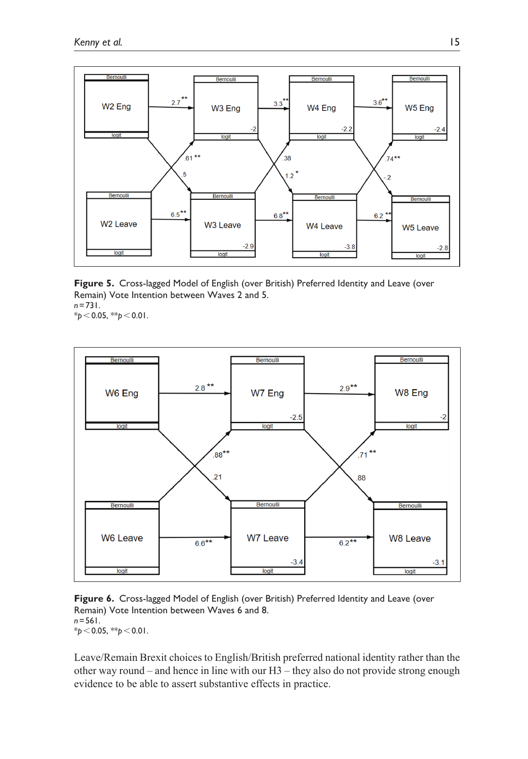

**Figure 5.** Cross-lagged Model of English (over British) Preferred Identity and Leave (over Remain) Vote Intention between Waves 2 and 5. *n*=731. \**p*<0.05, \*\**p*<0.01.



**Figure 6.** Cross-lagged Model of English (over British) Preferred Identity and Leave (over Remain) Vote Intention between Waves 6 and 8. *n*=561. \**p*<0.05, \*\**p*<0.01.

Leave/Remain Brexit choices to English/British preferred national identity rather than the other way round – and hence in line with our  $H3$  – they also do not provide strong enough evidence to be able to assert substantive effects in practice.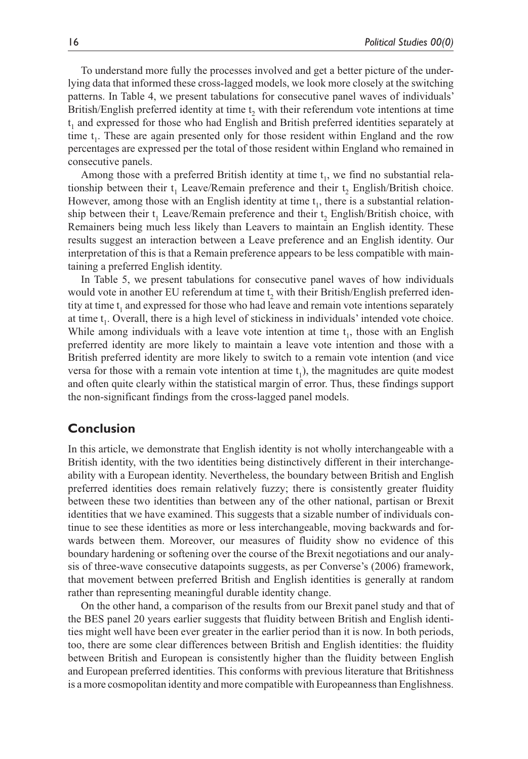To understand more fully the processes involved and get a better picture of the underlying data that informed these cross-lagged models, we look more closely at the switching patterns. In Table 4, we present tabulations for consecutive panel waves of individuals' British/English preferred identity at time  $t<sub>2</sub>$  with their referendum vote intentions at time t 1 and expressed for those who had English and British preferred identities separately at time  $t_1$ . These are again presented only for those resident within England and the row percentages are expressed per the total of those resident within England who remained in consecutive panels.

Among those with a preferred British identity at time  $t<sub>1</sub>$ , we find no substantial relationship between their  $t_1$  Leave/Remain preference and their  $t_2$  English/British choice. However, among those with an English identity at time  $t<sub>1</sub>$ , there is a substantial relationship between their  $t_1$  Leave/Remain preference and their  $t_2$  English/British choice, with Remainers being much less likely than Leavers to maintain an English identity. These results suggest an interaction between a Leave preference and an English identity. Our interpretation of this is that a Remain preference appears to be less compatible with maintaining a preferred English identity.

In Table 5, we present tabulations for consecutive panel waves of how individuals would vote in another EU referendum at time  $t_2$  with their British/English preferred identity at time  $t_1$  and expressed for those who had leave and remain vote intentions separately at time  $t_1$ . Overall, there is a high level of stickiness in individuals' intended vote choice. While among individuals with a leave vote intention at time  $t_1$ , those with an English preferred identity are more likely to maintain a leave vote intention and those with a British preferred identity are more likely to switch to a remain vote intention (and vice versa for those with a remain vote intention at time  $t_1$ ), the magnitudes are quite modest and often quite clearly within the statistical margin of error. Thus, these findings support the non-significant findings from the cross-lagged panel models.

# **Conclusion**

In this article, we demonstrate that English identity is not wholly interchangeable with a British identity, with the two identities being distinctively different in their interchangeability with a European identity. Nevertheless, the boundary between British and English preferred identities does remain relatively fuzzy; there is consistently greater fluidity between these two identities than between any of the other national, partisan or Brexit identities that we have examined. This suggests that a sizable number of individuals continue to see these identities as more or less interchangeable, moving backwards and forwards between them. Moreover, our measures of fluidity show no evidence of this boundary hardening or softening over the course of the Brexit negotiations and our analysis of three-wave consecutive datapoints suggests, as per Converse's (2006) framework, that movement between preferred British and English identities is generally at random rather than representing meaningful durable identity change.

On the other hand, a comparison of the results from our Brexit panel study and that of the BES panel 20 years earlier suggests that fluidity between British and English identities might well have been ever greater in the earlier period than it is now. In both periods, too, there are some clear differences between British and English identities: the fluidity between British and European is consistently higher than the fluidity between English and European preferred identities. This conforms with previous literature that Britishness is a more cosmopolitan identity and more compatible with Europeanness than Englishness.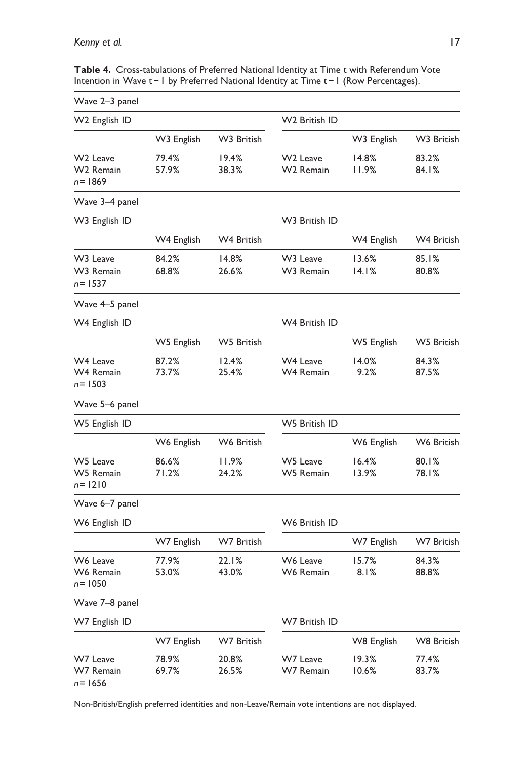| Wave 2-3 panel                                              |                |                |                                               |                |                   |
|-------------------------------------------------------------|----------------|----------------|-----------------------------------------------|----------------|-------------------|
| W2 English ID                                               |                |                | W2 British ID                                 |                |                   |
|                                                             | W3 English     | W3 British     |                                               | W3 English     | W3 British        |
| W <sub>2</sub> Leave<br>W <sub>2</sub> Remain<br>$n = 1869$ | 79.4%<br>57.9% | 19.4%<br>38.3% | W <sub>2</sub> Leave<br>W <sub>2</sub> Remain | 14.8%<br>11.9% | 83.2%<br>84.I%    |
| Wave 3-4 panel                                              |                |                |                                               |                |                   |
| W3 English ID                                               |                |                | W3 British ID                                 |                |                   |
|                                                             | W4 English     | W4 British     |                                               | W4 English     | W4 British        |
| W <sub>3</sub> Leave<br>W3 Remain<br>$n = 1537$             | 84.2%<br>68.8% | 14.8%<br>26.6% | W <sub>3</sub> Leave<br>W3 Remain             | 13.6%<br>14.1% | 85.1%<br>80.8%    |
| Wave 4–5 panel                                              |                |                |                                               |                |                   |
| W4 English ID                                               |                |                | W4 British ID                                 |                |                   |
|                                                             | W5 English     | W5 British     |                                               | W5 English     | W5 British        |
| W4 Leave<br>W4 Remain<br>$n = 1503$                         | 87.2%<br>73.7% | 12.4%<br>25.4% | W4 Leave<br>W4 Remain                         | 14.0%<br>9.2%  | 84.3%<br>87.5%    |
| Wave 5–6 panel                                              |                |                |                                               |                |                   |
| W5 English ID                                               |                |                | <b>W5 British ID</b>                          |                |                   |
|                                                             | W6 English     | W6 British     |                                               | W6 English     | W6 British        |
| W5 Leave<br>W5 Remain<br>$n = 1210$                         | 86.6%<br>71.2% | 11.9%<br>24.2% | W5 Leave<br>W5 Remain                         | 16.4%<br>13.9% | 80.1%<br>78.I%    |
| Wave 6–7 panel                                              |                |                |                                               |                |                   |
| W6 English ID                                               |                |                | W6 British ID                                 |                |                   |
|                                                             | W7 English     | W7 British     |                                               | W7 English     | <b>W7 British</b> |
| W6 Leave<br>W6 Remain<br>$n = 1050$                         | 77.9%<br>53.0% | 22.1%<br>43.0% | W6 Leave<br>W6 Remain                         | 15.7%<br>8.1%  | 84.3%<br>88.8%    |
| Wave 7-8 panel                                              |                |                |                                               |                |                   |
| W7 English ID                                               |                |                | W7 British ID                                 |                |                   |
|                                                             | W7 English     | W7 British     |                                               | W8 English     | <b>W8 British</b> |
| W7 Leave<br>W7 Remain<br>$n = 1656$                         | 78.9%<br>69.7% | 20.8%<br>26.5% | W7 Leave<br>W7 Remain                         | 19.3%<br>10.6% | 77.4%<br>83.7%    |

**Table 4.** Cross-tabulations of Preferred National Identity at Time t with Referendum Vote Intention in Wave t−1 by Preferred National Identity at Time t−1 (Row Percentages).

Non-British/English preferred identities and non-Leave/Remain vote intentions are not displayed.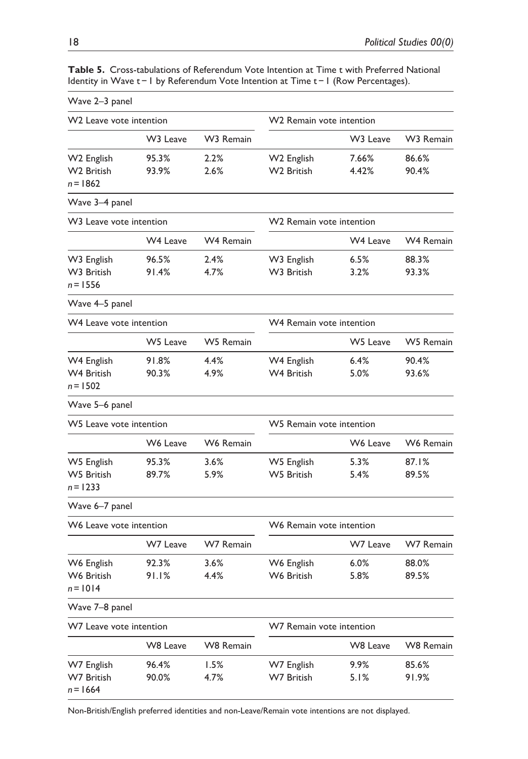| Wave 2-3 panel                      |                      |           |                                      |                      |                  |  |  |  |
|-------------------------------------|----------------------|-----------|--------------------------------------|----------------------|------------------|--|--|--|
| W2 Leave vote intention             |                      |           | W2 Remain vote intention             |                      |                  |  |  |  |
|                                     | W <sub>3</sub> Leave | W3 Remain |                                      | W <sub>3</sub> Leave | W3 Remain        |  |  |  |
| W2 English                          | 95.3%                | 2.2%      | W2 English                           | 7.66%                | 86.6%            |  |  |  |
| W2 British<br>$n = 1862$            | 93.9%                | 2.6%      | W2 British                           | 4.42%                | 90.4%            |  |  |  |
| Wave 3-4 panel                      |                      |           |                                      |                      |                  |  |  |  |
| W <sub>3</sub> Leave vote intention |                      |           | W <sub>2</sub> Remain vote intention |                      |                  |  |  |  |
|                                     | <b>W4 Leave</b>      | W4 Remain |                                      | W4 Leave             | W4 Remain        |  |  |  |
| W3 English                          | 96.5%                | 2.4%      | W3 English                           | 6.5%                 | 88.3%            |  |  |  |
| W3 British<br>$n = 1556$            | 91.4%                | 4.7%      | W3 British                           | 3.2%                 | 93.3%            |  |  |  |
| Wave 4-5 panel                      |                      |           |                                      |                      |                  |  |  |  |
| W4 Leave vote intention             |                      |           | W4 Remain vote intention             |                      |                  |  |  |  |
|                                     | W5 Leave             | W5 Remain |                                      | W5 Leave             | W5 Remain        |  |  |  |
| W4 English                          | 91.8%                | 4.4%      | W4 English                           | 6.4%                 | 90.4%            |  |  |  |
| W4 British<br>$n = 1502$            | 90.3%                | 4.9%      | W4 British                           | 5.0%                 | 93.6%            |  |  |  |
| Wave 5-6 panel                      |                      |           |                                      |                      |                  |  |  |  |
| W5 Leave vote intention             |                      |           | W5 Remain vote intention             |                      |                  |  |  |  |
|                                     | W6 Leave             | W6 Remain |                                      | W6 Leave             | W6 Remain        |  |  |  |
| W5 English                          | 95.3%                | 3.6%      | W5 English                           | 5.3%                 | 87.1%            |  |  |  |
| W5 British<br>$n = 1233$            | 89.7%                | 5.9%      | W5 British                           | 5.4%                 | 89.5%            |  |  |  |
| Wave 6-7 panel                      |                      |           |                                      |                      |                  |  |  |  |
| W6 Leave vote intention             |                      |           | W6 Remain vote intention             |                      |                  |  |  |  |
|                                     | W7 Leave             | W7 Remain |                                      | W7 Leave             | W7 Remain        |  |  |  |
| W6 English                          | 92.3%                | 3.6%      | W6 English                           | 6.0%                 | 88.0%            |  |  |  |
| W6 British<br>$n = 1014$            | 91.1%                | 4.4%      | W6 British                           | 5.8%                 | 89.5%            |  |  |  |
| Wave 7-8 panel                      |                      |           |                                      |                      |                  |  |  |  |
| W7 Leave vote intention             |                      |           | W7 Remain vote intention             |                      |                  |  |  |  |
|                                     | <b>W8 Leave</b>      | W8 Remain |                                      | W8 Leave             | <b>W8 Remain</b> |  |  |  |
| W7 English                          | 96.4%                | 1.5%      | W7 English                           | $9.9\%$              | 85.6%            |  |  |  |
| W7 British<br>$n = 1664$            | 90.0%                | 4.7%      | W7 British                           | 5.1%                 | 91.9%            |  |  |  |

**Table 5.** Cross-tabulations of Referendum Vote Intention at Time t with Preferred National Identity in Wave t−1 by Referendum Vote Intention at Time t−1 (Row Percentages).

Non-British/English preferred identities and non-Leave/Remain vote intentions are not displayed.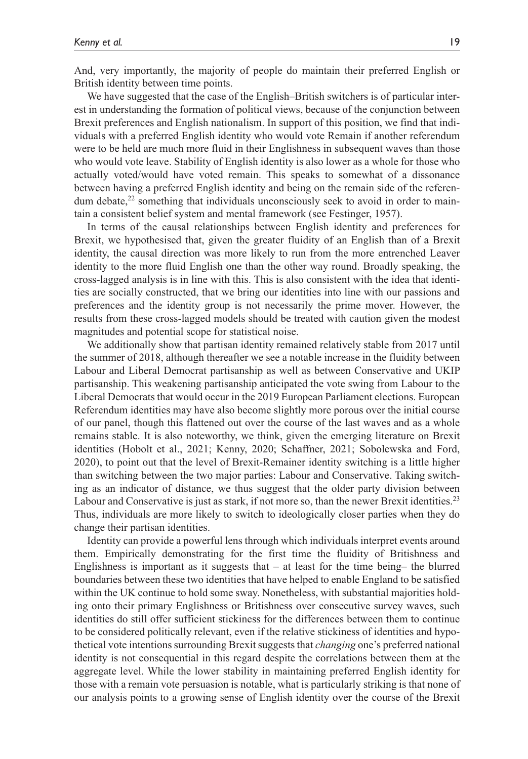And, very importantly, the majority of people do maintain their preferred English or British identity between time points.

We have suggested that the case of the English–British switchers is of particular interest in understanding the formation of political views, because of the conjunction between Brexit preferences and English nationalism. In support of this position, we find that individuals with a preferred English identity who would vote Remain if another referendum were to be held are much more fluid in their Englishness in subsequent waves than those who would vote leave. Stability of English identity is also lower as a whole for those who actually voted/would have voted remain. This speaks to somewhat of a dissonance between having a preferred English identity and being on the remain side of the referendum debate,<sup>22</sup> something that individuals unconsciously seek to avoid in order to maintain a consistent belief system and mental framework (see Festinger, 1957).

In terms of the causal relationships between English identity and preferences for Brexit, we hypothesised that, given the greater fluidity of an English than of a Brexit identity, the causal direction was more likely to run from the more entrenched Leaver identity to the more fluid English one than the other way round. Broadly speaking, the cross-lagged analysis is in line with this. This is also consistent with the idea that identities are socially constructed, that we bring our identities into line with our passions and preferences and the identity group is not necessarily the prime mover. However, the results from these cross-lagged models should be treated with caution given the modest magnitudes and potential scope for statistical noise.

We additionally show that partisan identity remained relatively stable from 2017 until the summer of 2018, although thereafter we see a notable increase in the fluidity between Labour and Liberal Democrat partisanship as well as between Conservative and UKIP partisanship. This weakening partisanship anticipated the vote swing from Labour to the Liberal Democrats that would occur in the 2019 European Parliament elections. European Referendum identities may have also become slightly more porous over the initial course of our panel, though this flattened out over the course of the last waves and as a whole remains stable. It is also noteworthy, we think, given the emerging literature on Brexit identities (Hobolt et al., 2021; Kenny, 2020; Schaffner, 2021; Sobolewska and Ford, 2020), to point out that the level of Brexit-Remainer identity switching is a little higher than switching between the two major parties: Labour and Conservative. Taking switching as an indicator of distance, we thus suggest that the older party division between Labour and Conservative is just as stark, if not more so, than the newer Brexit identities.<sup>23</sup> Thus, individuals are more likely to switch to ideologically closer parties when they do change their partisan identities.

Identity can provide a powerful lens through which individuals interpret events around them. Empirically demonstrating for the first time the fluidity of Britishness and Englishness is important as it suggests that – at least for the time being– the blurred boundaries between these two identities that have helped to enable England to be satisfied within the UK continue to hold some sway. Nonetheless, with substantial majorities holding onto their primary Englishness or Britishness over consecutive survey waves, such identities do still offer sufficient stickiness for the differences between them to continue to be considered politically relevant, even if the relative stickiness of identities and hypothetical vote intentions surrounding Brexit suggests that *changing* one's preferred national identity is not consequential in this regard despite the correlations between them at the aggregate level. While the lower stability in maintaining preferred English identity for those with a remain vote persuasion is notable, what is particularly striking is that none of our analysis points to a growing sense of English identity over the course of the Brexit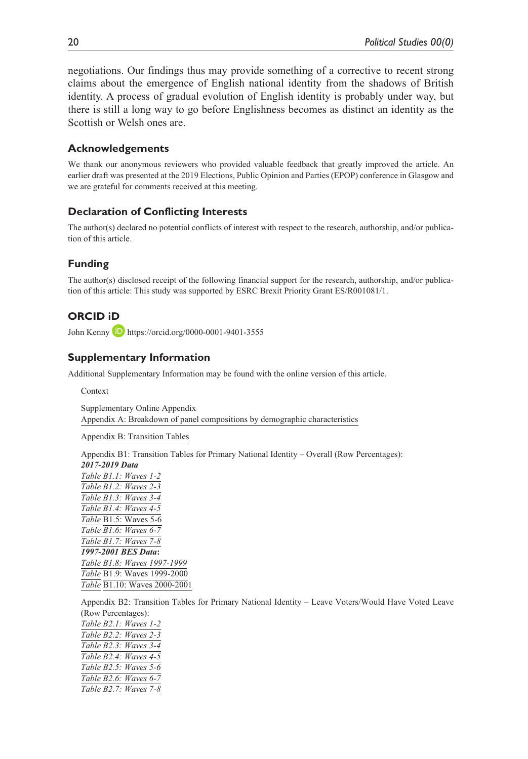negotiations. Our findings thus may provide something of a corrective to recent strong claims about the emergence of English national identity from the shadows of British identity. A process of gradual evolution of English identity is probably under way, but there is still a long way to go before Englishness becomes as distinct an identity as the Scottish or Welsh ones are.

## **Acknowledgements**

We thank our anonymous reviewers who provided valuable feedback that greatly improved the article. An earlier draft was presented at the 2019 Elections, Public Opinion and Parties (EPOP) conference in Glasgow and we are grateful for comments received at this meeting.

## **Declaration of Conflicting Interests**

The author(s) declared no potential conflicts of interest with respect to the research, authorship, and/or publication of this article.

## **Funding**

The author(s) disclosed receipt of the following financial support for the research, authorship, and/or publication of this article: This study was supported by ESRC Brexit Priority Grant ES/R001081/1.

# **ORCID iD**

John Kenny **D** <https://orcid.org/0000-0001-9401-3555>

## **Supplementary Information**

Additional Supplementary Information may be found with the online version of this article.

Context

Supplementary Online Appendix Appendix A: Breakdown of panel compositions by demographic characteristics

Appendix B: Transition Tables

Appendix B1: Transition Tables for Primary National Identity – Overall (Row Percentages): *2017-2019 Data*

*Table B1.1: Waves 1-2 Table B1.2: Waves 2-3 Table B1.3: Waves 3-4 Table B1.4: Waves 4-5 Table* B1.5: Waves 5-6 *Table B1.6: Waves 6-7 Table B1.7: Waves 7-8 1997-2001 BES Data***:** *Table B1.8: Waves 1997-1999 Table* B1.9: Waves 1999-2000 *Table* B1.10: Waves 2000-2001

Appendix B2: Transition Tables for Primary National Identity – Leave Voters/Would Have Voted Leave

(Row Percentages): *Table B2.1: Waves 1-2 Table B2.2: Waves 2-3 Table B2.3: Waves 3-4 Table B2.4: Waves 4-5 Table B2.5: Waves 5-6 Table B2.6: Waves 6-7 Table B2.7: Waves 7-8*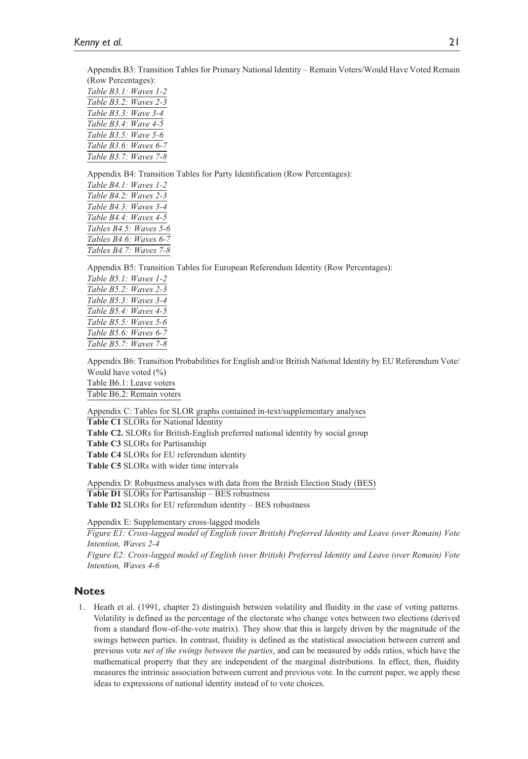Appendix B3: Transition Tables for Primary National Identity – Remain Voters/Would Have Voted Remain (Row Percentages):

*Table B3.1: Waves 1-2 Table B3.2: Waves 2-3 Table B3.3: Wave 3-4 Table B3.4: Wave 4-5 Table B3.5: Wave 5-6 Table B3.6: Waves 6-7 Table B3.7: Waves 7-8*

Appendix B4: Transition Tables for Party Identification (Row Percentages):

*Table B4.1: Waves 1-2 Table B4.2: Waves 2-3 Table B4.3: Waves 3-4 Table B4.4: Waves 4-5 Tables B4.5: Waves 5-6 Tables B4.6: Waves 6-7 Tables B4.7: Waves 7-8*

Appendix B5: Transition Tables for European Referendum Identity (Row Percentages):

*Table B5.1: Waves 1-2 Table B5.2: Waves 2-3 Table B5.3: Waves 3-4 Table B5.4: Waves 4-5 Table B5.5: Waves 5-6 Table B5.6: Waves 6-7 Table B5.7: Waves 7-8*

Appendix B6: Transition Probabilities for English and/or British National Identity by EU Referendum Vote/ Would have voted (%) Table B6.1: Leave voters Table B6.2: Remain voters

Appendix C: Tables for SLOR graphs contained in-text/supplementary analyses

**Table C1** SLORs for National Identity **Table C2.** SLORs for British-English preferred national identity by social group **Table C3** SLORs for Partisanship **Table C4** SLORs for EU referendum identity **Table C5** SLORs with wider time intervals

Appendix D: Robustness analyses with data from the British Election Study (BES) **Table D1** SLORs for Partisanship – BES robustness **Table D2** SLORs for EU referendum identity – BES robustness

Appendix E: Supplementary cross-lagged models

*Figure E1: Cross-lagged model of English (over British) Preferred Identity and Leave (over Remain) Vote Intention, Waves 2-4 Figure E2: Cross-lagged model of English (over British) Preferred Identity and Leave (over Remain) Vote Intention, Waves 4-6*

#### **Notes**

1. Heath et al. (1991, chapter 2) distinguish between volatility and fluidity in the case of voting patterns. Volatility is defined as the percentage of the electorate who change votes between two elections (derived from a standard flow-of-the-vote matrix). They show that this is largely driven by the magnitude of the swings between parties. In contrast, fluidity is defined as the statistical association between current and previous vote *net of the swings between the parties*, and can be measured by odds ratios, which have the mathematical property that they are independent of the marginal distributions. In effect, then, fluidity measures the intrinsic association between current and previous vote. In the current paper, we apply these ideas to expressions of national identity instead of to vote choices.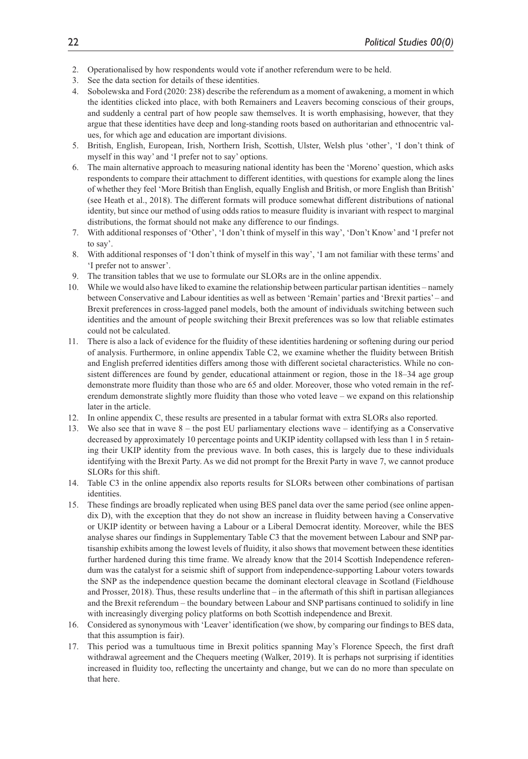- 2. Operationalised by how respondents would vote if another referendum were to be held.
- 3. See the data section for details of these identities.
- 4. Sobolewska and Ford (2020: 238) describe the referendum as a moment of awakening, a moment in which the identities clicked into place, with both Remainers and Leavers becoming conscious of their groups, and suddenly a central part of how people saw themselves. It is worth emphasising, however, that they argue that these identities have deep and long-standing roots based on authoritarian and ethnocentric values, for which age and education are important divisions.
- 5. British, English, European, Irish, Northern Irish, Scottish, Ulster, Welsh plus 'other', 'I don't think of myself in this way' and 'I prefer not to say' options.
- 6. The main alternative approach to measuring national identity has been the 'Moreno' question, which asks respondents to compare their attachment to different identities, with questions for example along the lines of whether they feel 'More British than English, equally English and British, or more English than British' (see Heath et al., 2018). The different formats will produce somewhat different distributions of national identity, but since our method of using odds ratios to measure fluidity is invariant with respect to marginal distributions, the format should not make any difference to our findings.
- 7. With additional responses of 'Other', 'I don't think of myself in this way', 'Don't Know' and 'I prefer not to say'.
- 8. With additional responses of 'I don't think of myself in this way', 'I am not familiar with these terms' and 'I prefer not to answer'.
- 9. The transition tables that we use to formulate our SLORs are in the online appendix.
- 10. While we would also have liked to examine the relationship between particular partisan identities namely between Conservative and Labour identities as well as between 'Remain' parties and 'Brexit parties' – and Brexit preferences in cross-lagged panel models, both the amount of individuals switching between such identities and the amount of people switching their Brexit preferences was so low that reliable estimates could not be calculated.
- 11. There is also a lack of evidence for the fluidity of these identities hardening or softening during our period of analysis. Furthermore, in online appendix Table C2, we examine whether the fluidity between British and English preferred identities differs among those with different societal characteristics. While no consistent differences are found by gender, educational attainment or region, those in the 18–34 age group demonstrate more fluidity than those who are 65 and older. Moreover, those who voted remain in the referendum demonstrate slightly more fluidity than those who voted leave – we expand on this relationship later in the article.
- 12. In online appendix C, these results are presented in a tabular format with extra SLORs also reported.
- 13. We also see that in wave 8 the post EU parliamentary elections wave identifying as a Conservative decreased by approximately 10 percentage points and UKIP identity collapsed with less than 1 in 5 retaining their UKIP identity from the previous wave. In both cases, this is largely due to these individuals identifying with the Brexit Party. As we did not prompt for the Brexit Party in wave 7, we cannot produce SLORs for this shift.
- 14. Table C3 in the online appendix also reports results for SLORs between other combinations of partisan identities.
- 15. These findings are broadly replicated when using BES panel data over the same period (see online appendix D), with the exception that they do not show an increase in fluidity between having a Conservative or UKIP identity or between having a Labour or a Liberal Democrat identity. Moreover, while the BES analyse shares our findings in Supplementary Table C3 that the movement between Labour and SNP partisanship exhibits among the lowest levels of fluidity, it also shows that movement between these identities further hardened during this time frame. We already know that the 2014 Scottish Independence referendum was the catalyst for a seismic shift of support from independence-supporting Labour voters towards the SNP as the independence question became the dominant electoral cleavage in Scotland (Fieldhouse and Prosser, 2018). Thus, these results underline that – in the aftermath of this shift in partisan allegiances and the Brexit referendum – the boundary between Labour and SNP partisans continued to solidify in line with increasingly diverging policy platforms on both Scottish independence and Brexit.
- 16. Considered as synonymous with 'Leaver' identification (we show, by comparing our findings to BES data, that this assumption is fair).
- 17. This period was a tumultuous time in Brexit politics spanning May's Florence Speech, the first draft withdrawal agreement and the Chequers meeting (Walker, 2019). It is perhaps not surprising if identities increased in fluidity too, reflecting the uncertainty and change, but we can do no more than speculate on that here.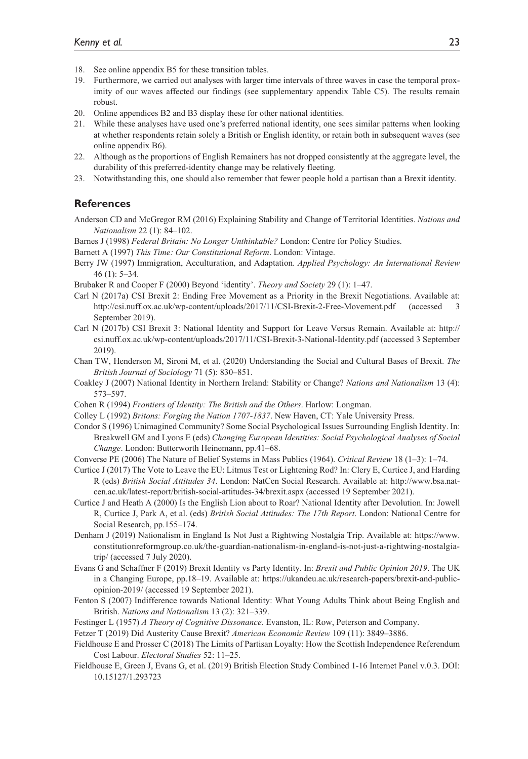- 18. See online appendix B5 for these transition tables.
- 19. Furthermore, we carried out analyses with larger time intervals of three waves in case the temporal proximity of our waves affected our findings (see supplementary appendix Table C5). The results remain robust.
- 20. Online appendices B2 and B3 display these for other national identities.
- 21. While these analyses have used one's preferred national identity, one sees similar patterns when looking at whether respondents retain solely a British or English identity, or retain both in subsequent waves (see online appendix B6).
- 22. Although as the proportions of English Remainers has not dropped consistently at the aggregate level, the durability of this preferred-identity change may be relatively fleeting.
- 23. Notwithstanding this, one should also remember that fewer people hold a partisan than a Brexit identity.

### **References**

Anderson CD and McGregor RM (2016) Explaining Stability and Change of Territorial Identities. *Nations and Nationalism* 22 (1): 84–102.

Barnes J (1998) *Federal Britain: No Longer Unthinkable?* London: Centre for Policy Studies.

- Barnett A (1997) *This Time: Our Constitutional Reform*. London: Vintage.
- Berry JW (1997) Immigration, Acculturation, and Adaptation. *Applied Psychology: An International Review* 46 (1): 5–34.
- Brubaker R and Cooper F (2000) Beyond 'identity'. *Theory and Society* 29 (1): 1–47.
- Carl N (2017a) CSI Brexit 2: Ending Free Movement as a Priority in the Brexit Negotiations. Available at: <http://csi.nuff.ox.ac.uk/wp-content/uploads/2017/11/CSI-Brexit-2-Free-Movement.pdf> (accessed 3 September 2019).
- Carl N (2017b) CSI Brexit 3: National Identity and Support for Leave Versus Remain. Available at: [http://](http://csi.nuff.ox.ac.uk/wp-content/uploads/2017/11/CSI-Brexit-3-National-Identity.pdf) [csi.nuff.ox.ac.uk/wp-content/uploads/2017/11/CSI-Brexit-3-National-Identity.pdf](http://csi.nuff.ox.ac.uk/wp-content/uploads/2017/11/CSI-Brexit-3-National-Identity.pdf) (accessed 3 September 2019).
- Chan TW, Henderson M, Sironi M, et al. (2020) Understanding the Social and Cultural Bases of Brexit. *The British Journal of Sociology* 71 (5): 830–851.
- Coakley J (2007) National Identity in Northern Ireland: Stability or Change? *Nations and Nationalism* 13 (4): 573–597.
- Cohen R (1994) *Frontiers of Identity: The British and the Others*. Harlow: Longman.
- Colley L (1992) *Britons: Forging the Nation 1707-1837*. New Haven, CT: Yale University Press.
- Condor S (1996) Unimagined Community? Some Social Psychological Issues Surrounding English Identity. In: Breakwell GM and Lyons E (eds) *Changing European Identities: Social Psychological Analyses of Social Change*. London: Butterworth Heinemann, pp.41–68.
- Converse PE (2006) The Nature of Belief Systems in Mass Publics (1964). *Critical Review* 18 (1–3): 1–74.
- Curtice J (2017) The Vote to Leave the EU: Litmus Test or Lightening Rod? In: Clery E, Curtice J, and Harding R (eds) *British Social Attitudes 34*. London: NatCen Social Research. Available at: [http://www.bsa.nat](http://www.bsa.natcen.ac.uk/latest-report/british-social-attitudes-34/brexit.aspx)[cen.ac.uk/latest-report/british-social-attitudes-34/brexit.aspx](http://www.bsa.natcen.ac.uk/latest-report/british-social-attitudes-34/brexit.aspx) (accessed 19 September 2021).
- Curtice J and Heath A (2000) Is the English Lion about to Roar? National Identity after Devolution. In: Jowell R, Curtice J, Park A, et al. (eds) *British Social Attitudes: The 17th Report*. London: National Centre for Social Research, pp.155–174.
- Denham J (2019) Nationalism in England Is Not Just a Rightwing Nostalgia Trip. Available at: [https://www.](https://www.constitutionreformgroup.co.uk/the-guardian-nationalism-in-england-is-not-just-a-rightwing-nostalgia-trip/) [constitutionreformgroup.co.uk/the-guardian-nationalism-in-england-is-not-just-a-rightwing-nostalgia](https://www.constitutionreformgroup.co.uk/the-guardian-nationalism-in-england-is-not-just-a-rightwing-nostalgia-trip/)[trip/](https://www.constitutionreformgroup.co.uk/the-guardian-nationalism-in-england-is-not-just-a-rightwing-nostalgia-trip/) (accessed 7 July 2020).
- Evans G and Schaffner F (2019) Brexit Identity vs Party Identity. In: *Brexit and Public Opinion 2019*. The UK in a Changing Europe, pp.18–19. Available at: [https://ukandeu.ac.uk/research-papers/brexit-and-public](https://ukandeu.ac.uk/research-papers/brexit-and-public-opinion-2019/)[opinion-2019/](https://ukandeu.ac.uk/research-papers/brexit-and-public-opinion-2019/) (accessed 19 September 2021).
- Fenton S (2007) Indifference towards National Identity: What Young Adults Think about Being English and British. *Nations and Nationalism* 13 (2): 321–339.
- Festinger L (1957) *A Theory of Cognitive Dissonance*. Evanston, IL: Row, Peterson and Company.
- Fetzer T (2019) Did Austerity Cause Brexit? *American Economic Review* 109 (11): 3849–3886.
- Fieldhouse E and Prosser C (2018) The Limits of Partisan Loyalty: How the Scottish Independence Referendum Cost Labour. *Electoral Studies* 52: 11–25.
- Fieldhouse E, Green J, Evans G, et al. (2019) British Election Study Combined 1-16 Internet Panel v.0.3. DOI: 10.15127/1.293723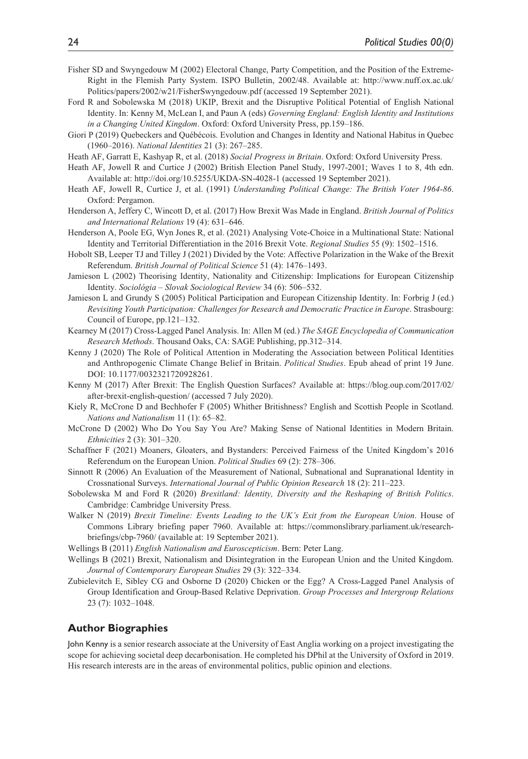- Fisher SD and Swyngedouw M (2002) Electoral Change, Party Competition, and the Position of the Extreme-Right in the Flemish Party System. ISPO Bulletin, 2002/48. Available at: [http://www.nuff.ox.ac.uk/](http://www.nuff.ox.ac.uk/Politics/papers/2002/w21/FisherSwyngedouw.pdf) [Politics/papers/2002/w21/FisherSwyngedouw.pdf](http://www.nuff.ox.ac.uk/Politics/papers/2002/w21/FisherSwyngedouw.pdf) (accessed 19 September 2021).
- Ford R and Sobolewska M (2018) UKIP, Brexit and the Disruptive Political Potential of English National Identity. In: Kenny M, McLean I, and Paun A (eds) *Governing England: English Identity and Institutions in a Changing United Kingdom*. Oxford: Oxford University Press, pp.159–186.
- Giori P (2019) Quebeckers and Québécois. Evolution and Changes in Identity and National Habitus in Quebec (1960–2016). *National Identities* 21 (3): 267–285.
- Heath AF, Garratt E, Kashyap R, et al. (2018) *Social Progress in Britain*. Oxford: Oxford University Press.
- Heath AF, Jowell R and Curtice J (2002) British Election Panel Study, 1997-2001; Waves 1 to 8, 4th edn. Available at:<http://doi.org/10.5255/UKDA-SN-4028-1> (accessed 19 September 2021).
- Heath AF, Jowell R, Curtice J, et al. (1991) *Understanding Political Change: The British Voter 1964-86*. Oxford: Pergamon.
- Henderson A, Jeffery C, Wincott D, et al. (2017) How Brexit Was Made in England. *British Journal of Politics and International Relations* 19 (4): 631–646.
- Henderson A, Poole EG, Wyn Jones R, et al. (2021) Analysing Vote-Choice in a Multinational State: National Identity and Territorial Differentiation in the 2016 Brexit Vote. *Regional Studies* 55 (9): 1502–1516.
- Hobolt SB, Leeper TJ and Tilley J (2021) Divided by the Vote: Affective Polarization in the Wake of the Brexit Referendum. *British Journal of Political Science* 51 (4): 1476–1493.
- Jamieson L (2002) Theorising Identity, Nationality and Citizenship: Implications for European Citizenship Identity. *Sociológia – Slovak Sociological Review* 34 (6): 506–532.
- Jamieson L and Grundy S (2005) Political Participation and European Citizenship Identity. In: Forbrig J (ed.) *Revisiting Youth Participation: Challenges for Research and Democratic Practice in Europe*. Strasbourg: Council of Europe, pp.121–132.
- Kearney M (2017) Cross-Lagged Panel Analysis. In: Allen M (ed.) *The SAGE Encyclopedia of Communication Research Methods*. Thousand Oaks, CA: SAGE Publishing, pp.312–314.
- Kenny J (2020) The Role of Political Attention in Moderating the Association between Political Identities and Anthropogenic Climate Change Belief in Britain. *Political Studies*. Epub ahead of print 19 June. DOI: 10.1177/0032321720928261.
- Kenny M (2017) After Brexit: The English Question Surfaces? Available at: [https://blog.oup.com/2017/02/](https://blog.oup.com/2017/02/after-brexit-english-question/) [after-brexit-english-question/](https://blog.oup.com/2017/02/after-brexit-english-question/) (accessed 7 July 2020).
- Kiely R, McCrone D and Bechhofer F (2005) Whither Britishness? English and Scottish People in Scotland. *Nations and Nationalism* 11 (1): 65–82.
- McCrone D (2002) Who Do You Say You Are? Making Sense of National Identities in Modern Britain. *Ethnicities* 2 (3): 301–320.
- Schaffner F (2021) Moaners, Gloaters, and Bystanders: Perceived Fairness of the United Kingdom's 2016 Referendum on the European Union. *Political Studies* 69 (2): 278–306.
- Sinnott R (2006) An Evaluation of the Measurement of National, Subnational and Supranational Identity in Crossnational Surveys. *International Journal of Public Opinion Research* 18 (2): 211–223.
- Sobolewska M and Ford R (2020) *Brexitland: Identity, Diversity and the Reshaping of British Politics*. Cambridge: Cambridge University Press.
- Walker N (2019) *Brexit Timeline: Events Leading to the UK's Exit from the European Union*. House of Commons Library briefing paper 7960. Available at: [https://commonslibrary.parliament.uk/research](https://commonslibrary.parliament.uk/research-briefings/cbp-7960/)[briefings/cbp-7960/](https://commonslibrary.parliament.uk/research-briefings/cbp-7960/) (available at: 19 September 2021).
- Wellings B (2011) *English Nationalism and Euroscepticism*. Bern: Peter Lang.
- Wellings B (2021) Brexit, Nationalism and Disintegration in the European Union and the United Kingdom. *Journal of Contemporary European Studies* 29 (3): 322–334.
- Zubielevitch E, Sibley CG and Osborne D (2020) Chicken or the Egg? A Cross-Lagged Panel Analysis of Group Identification and Group-Based Relative Deprivation. *Group Processes and Intergroup Relations* 23 (7): 1032–1048.

### **Author Biographies**

John Kenny is a senior research associate at the University of East Anglia working on a project investigating the scope for achieving societal deep decarbonisation. He completed his DPhil at the University of Oxford in 2019. His research interests are in the areas of environmental politics, public opinion and elections.